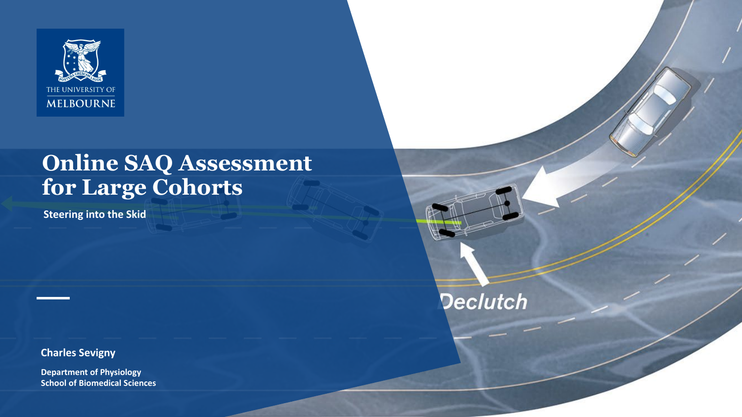

# **Online SAQ Assessment for Large Cohorts**

**Declutch** 

**Steering into the Skid**

**Charles Sevigny**

**Department of Physiology School of Biomedical Sciences**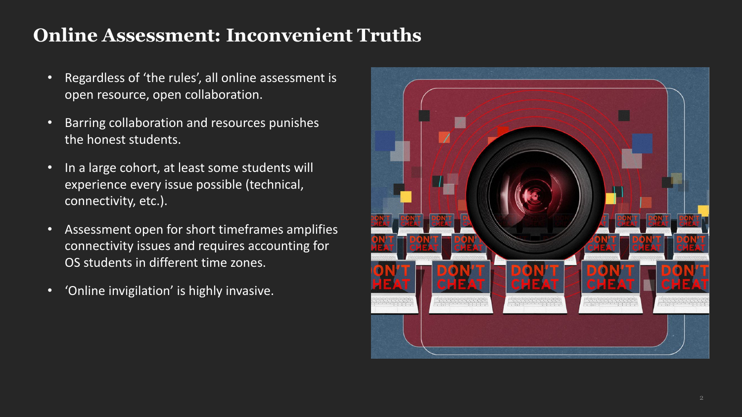## **Online Assessment: Inconvenient Truths**

- Regardless of 'the rules', all online assessment is open resource, open collaboration.
- Barring collaboration and resources punishes the honest students.
- In a large cohort, at least some students will experience every issue possible (technical, connectivity, etc.).
- Assessment open for short timeframes amplifies connectivity issues and requires accounting for OS students in different time zones.
- 'Online invigilation' is highly invasive.

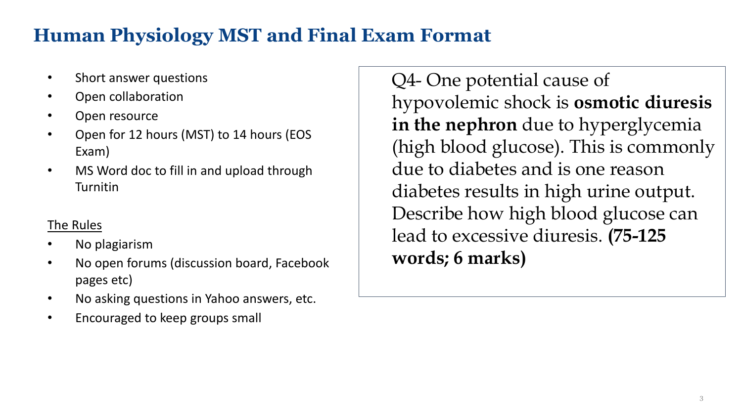# **Human Physiology MST and Final Exam Format**

- Short answer questions
- Open collaboration
- Open resource
- Open for 12 hours (MST) to 14 hours (EOS Exam)
- MS Word doc to fill in and upload through **Turnitin**

#### The Rules

- No plagiarism
- No open forums (discussion board, Facebook pages etc)
- No asking questions in Yahoo answers, etc.
- Encouraged to keep groups small

Q4- One potential cause of hypovolemic shock is **osmotic diuresis in the nephron** due to hyperglycemia (high blood glucose). This is commonly due to diabetes and is one reason diabetes results in high urine output. Describe how high blood glucose can lead to excessive diuresis. **(75-125 words; 6 marks)**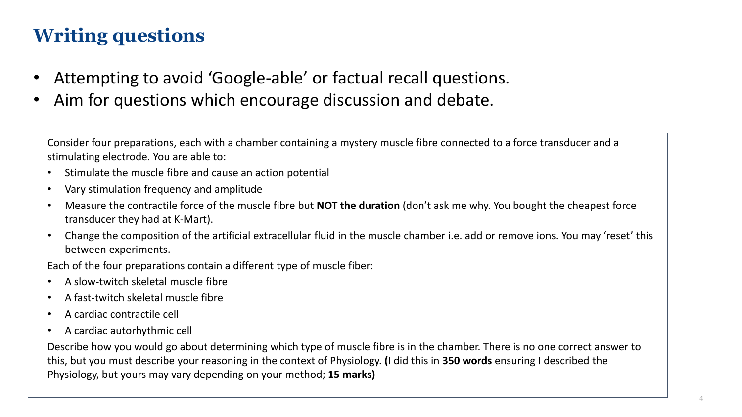# **Writing questions**

- Attempting to avoid 'Google-able' or factual recall questions.
- Aim for questions which encourage discussion and debate.

Consider four preparations, each with a chamber containing a mystery muscle fibre connected to a force transducer and a stimulating electrode. You are able to:

- Stimulate the muscle fibre and cause an action potential
- Vary stimulation frequency and amplitude
- Measure the contractile force of the muscle fibre but **NOT the duration** (don't ask me why. You bought the cheapest force transducer they had at K-Mart).
- Change the composition of the artificial extracellular fluid in the muscle chamber i.e. add or remove ions. You may 'reset' this between experiments.

Each of the four preparations contain a different type of muscle fiber:

- A slow-twitch skeletal muscle fibre
- A fast-twitch skeletal muscle fibre
- A cardiac contractile cell
- A cardiac autorhythmic cell

Describe how you would go about determining which type of muscle fibre is in the chamber. There is no one correct answer to this, but you must describe your reasoning in the context of Physiology. **(**I did this in **350 words** ensuring I described the Physiology, but yours may vary depending on your method; **15 marks)**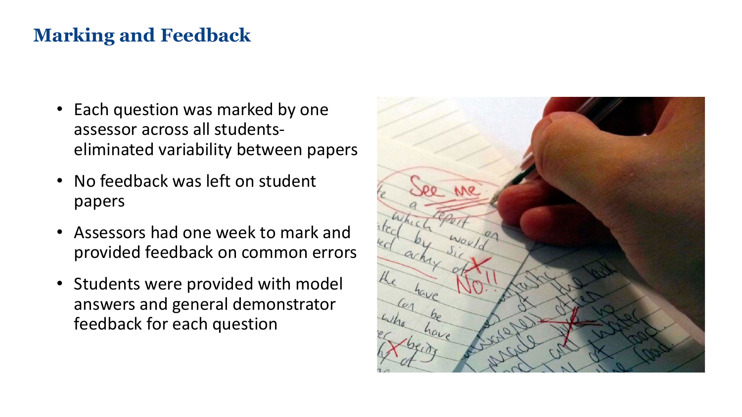### **Marking and Feedback**

- Each question was marked by one assessor across all studentseliminated variability between papers
- No feedback was left on student papers
- Assessors had one week to mark and provided feedback on common errors
- Students were provided with model answers and general demonstrator feedback for each question

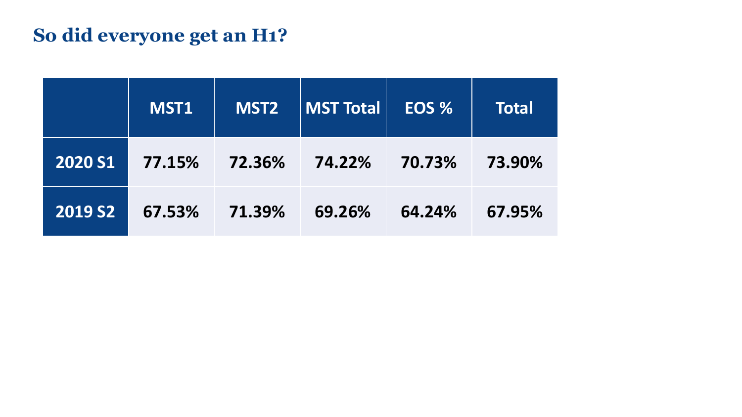# **So did everyone get an H1?**

|                | MST1   | <b>MST2</b> | <b>MST Total</b> | EOS %  | <b>Total</b> |
|----------------|--------|-------------|------------------|--------|--------------|
| <b>2020 S1</b> | 77.15% | 72.36%      | 74.22%           | 70.73% | 73.90%       |
| <b>2019 S2</b> | 67.53% | 71.39%      | 69.26%           | 64.24% | 67.95%       |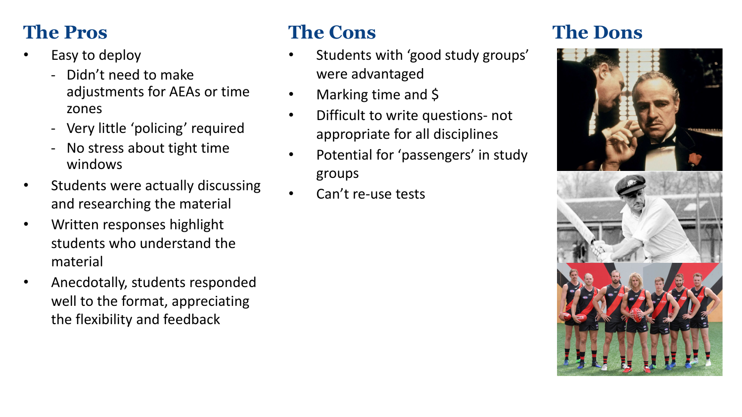## **The Pros**

- Easy to deploy
	- Didn't need to make adjustments for AEAs or time zones
	- Very little 'policing' required
	- No stress about tight time windows
- Students were actually discussing and researching the material
- Written responses highlight students who understand the material
- Anecdotally, students responded well to the format, appreciating the flexibility and feedback

### **The Cons**

- Students with 'good study groups' were advantaged
- Marking time and \$
- Difficult to write questions- not appropriate for all disciplines
- Potential for 'passengers' in study groups
- Can't re-use tests

#### **The Dons**